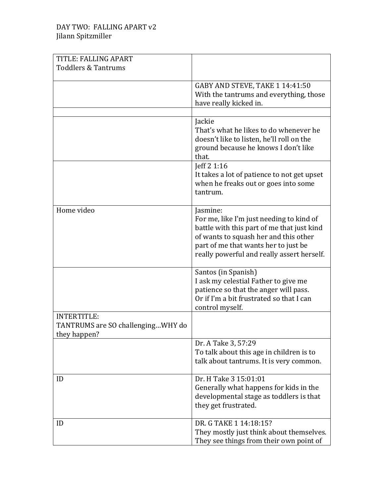| TITLE: FALLING APART              |                                                                                    |
|-----------------------------------|------------------------------------------------------------------------------------|
| <b>Toddlers &amp; Tantrums</b>    |                                                                                    |
|                                   |                                                                                    |
|                                   | GABY AND STEVE, TAKE 1 14:41:50                                                    |
|                                   | With the tantrums and everything, those<br>have really kicked in.                  |
|                                   |                                                                                    |
|                                   | Jackie                                                                             |
|                                   | That's what he likes to do whenever he                                             |
|                                   | doesn't like to listen, he'll roll on the                                          |
|                                   | ground because he knows I don't like<br>that.                                      |
|                                   | Jeff 2 1:16                                                                        |
|                                   | It takes a lot of patience to not get upset                                        |
|                                   | when he freaks out or goes into some                                               |
|                                   | tantrum.                                                                           |
| Home video                        | Jasmine:                                                                           |
|                                   | For me, like I'm just needing to kind of                                           |
|                                   | battle with this part of me that just kind                                         |
|                                   | of wants to squash her and this other                                              |
|                                   | part of me that wants her to just be<br>really powerful and really assert herself. |
|                                   |                                                                                    |
|                                   | Santos (in Spanish)                                                                |
|                                   | I ask my celestial Father to give me                                               |
|                                   | patience so that the anger will pass.<br>Or if I'm a bit frustrated so that I can  |
|                                   | control myself.                                                                    |
| <b>INTERTITLE:</b>                |                                                                                    |
| TANTRUMS are SO challengingWHY do |                                                                                    |
| they happen?                      |                                                                                    |
|                                   | Dr. A Take 3, 57:29<br>To talk about this age in children is to                    |
|                                   | talk about tantrums. It is very common.                                            |
|                                   |                                                                                    |
| ID                                | Dr. H Take 3 15:01:01                                                              |
|                                   | Generally what happens for kids in the                                             |
|                                   | developmental stage as toddlers is that                                            |
|                                   | they get frustrated.                                                               |
| ID                                | DR. G TAKE 1 14:18:15?                                                             |
|                                   | They mostly just think about themselves.                                           |
|                                   | They see things from their own point of                                            |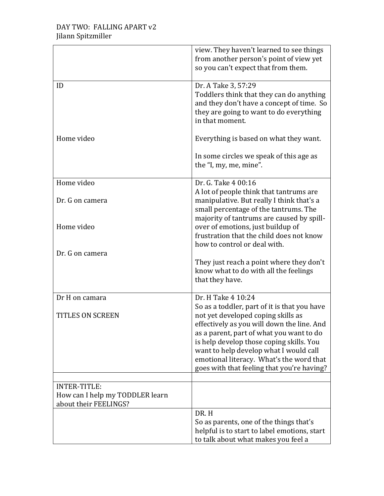|                                                          | view. They haven't learned to see things<br>from another person's point of view yet<br>so you can't expect that from them.                                                                                                                                                                                                                                   |
|----------------------------------------------------------|--------------------------------------------------------------------------------------------------------------------------------------------------------------------------------------------------------------------------------------------------------------------------------------------------------------------------------------------------------------|
| ID                                                       | Dr. A Take 3, 57:29<br>Toddlers think that they can do anything<br>and they don't have a concept of time. So<br>they are going to want to do everything<br>in that moment.                                                                                                                                                                                   |
| Home video                                               | Everything is based on what they want.                                                                                                                                                                                                                                                                                                                       |
|                                                          | In some circles we speak of this age as<br>the "I, my, me, mine".                                                                                                                                                                                                                                                                                            |
| Home video                                               | Dr. G. Take 4 00:16                                                                                                                                                                                                                                                                                                                                          |
| Dr. G on camera                                          | A lot of people think that tantrums are<br>manipulative. But really I think that's a<br>small percentage of the tantrums. The                                                                                                                                                                                                                                |
| Home video                                               | majority of tantrums are caused by spill-<br>over of emotions, just buildup of<br>frustration that the child does not know<br>how to control or deal with.                                                                                                                                                                                                   |
| Dr. G on camera                                          | They just reach a point where they don't<br>know what to do with all the feelings<br>that they have.                                                                                                                                                                                                                                                         |
| Dr H on camara                                           | Dr. H Take 4 10:24                                                                                                                                                                                                                                                                                                                                           |
| <b>TITLES ON SCREEN</b>                                  | So as a toddler, part of it is that you have<br>not yet developed coping skills as<br>effectively as you will down the line. And<br>as a parent, part of what you want to do<br>is help develop those coping skills. You<br>want to help develop what I would call<br>emotional literacy. What's the word that<br>goes with that feeling that you're having? |
| <b>INTER-TITLE:</b>                                      |                                                                                                                                                                                                                                                                                                                                                              |
| How can I help my TODDLER learn<br>about their FEELINGS? |                                                                                                                                                                                                                                                                                                                                                              |
|                                                          | DR.H<br>So as parents, one of the things that's<br>helpful is to start to label emotions, start<br>to talk about what makes you feel a                                                                                                                                                                                                                       |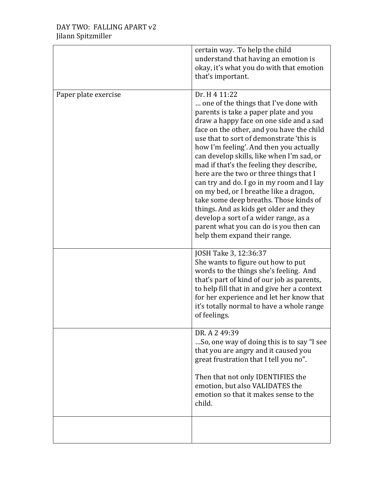|                      | certain way. To help the child<br>understand that having an emotion is<br>okay, it's what you do with that emotion<br>that's important.                                                                                                                                                                                                                                                                                                                                                                                                                                                                                                                                                                           |
|----------------------|-------------------------------------------------------------------------------------------------------------------------------------------------------------------------------------------------------------------------------------------------------------------------------------------------------------------------------------------------------------------------------------------------------------------------------------------------------------------------------------------------------------------------------------------------------------------------------------------------------------------------------------------------------------------------------------------------------------------|
| Paper plate exercise | Dr. H 4 11:22<br>one of the things that I've done with<br>parents is take a paper plate and you<br>draw a happy face on one side and a sad<br>face on the other, and you have the child<br>use that to sort of demonstrate 'this is<br>how I'm feeling'. And then you actually<br>can develop skills, like when I'm sad, or<br>mad if that's the feeling they describe,<br>here are the two or three things that I<br>can try and do. I go in my room and I lay<br>on my bed, or I breathe like a dragon,<br>take some deep breaths. Those kinds of<br>things. And as kids get older and they<br>develop a sort of a wider range, as a<br>parent what you can do is you then can<br>help them expand their range. |
|                      | JOSH Take 3, 12:36:37<br>She wants to figure out how to put<br>words to the things she's feeling. And<br>that's part of kind of our job as parents,<br>to help fill that in and give her a context<br>for her experience and let her know that<br>it's totally normal to have a whole range<br>of feelings.                                                                                                                                                                                                                                                                                                                                                                                                       |
|                      | DR. A 2 49:39<br>So, one way of doing this is to say "I see<br>that you are angry and it caused you<br>great frustration that I tell you no".<br>Then that not only IDENTIFIES the<br>emotion, but also VALIDATES the<br>emotion so that it makes sense to the<br>child.                                                                                                                                                                                                                                                                                                                                                                                                                                          |
|                      |                                                                                                                                                                                                                                                                                                                                                                                                                                                                                                                                                                                                                                                                                                                   |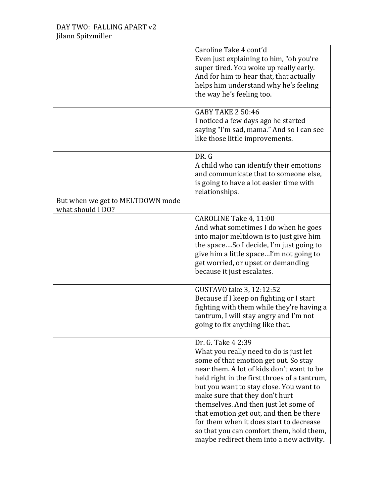|                                                       | Caroline Take 4 cont'd<br>Even just explaining to him, "oh you're<br>super tired. You woke up really early.<br>And for him to hear that, that actually<br>helps him understand why he's feeling<br>the way he's feeling too.                                                                                                                                                                                                                                                                           |
|-------------------------------------------------------|--------------------------------------------------------------------------------------------------------------------------------------------------------------------------------------------------------------------------------------------------------------------------------------------------------------------------------------------------------------------------------------------------------------------------------------------------------------------------------------------------------|
|                                                       | <b>GABY TAKE 2 50:46</b><br>I noticed a few days ago he started<br>saying "I'm sad, mama." And so I can see<br>like those little improvements.                                                                                                                                                                                                                                                                                                                                                         |
|                                                       | DR. G<br>A child who can identify their emotions<br>and communicate that to someone else,<br>is going to have a lot easier time with<br>relationships.                                                                                                                                                                                                                                                                                                                                                 |
| But when we get to MELTDOWN mode<br>what should I DO? |                                                                                                                                                                                                                                                                                                                                                                                                                                                                                                        |
|                                                       | CAROLINE Take 4, 11:00<br>And what sometimes I do when he goes<br>into major meltdown is to just give him<br>the spaceSo I decide, I'm just going to<br>give him a little spaceI'm not going to<br>get worried, or upset or demanding<br>because it just escalates.                                                                                                                                                                                                                                    |
|                                                       | GUSTAVO take 3, 12:12:52<br>Because if I keep on fighting or I start<br>fighting with them while they're having a<br>tantrum, I will stay angry and I'm not<br>going to fix anything like that.                                                                                                                                                                                                                                                                                                        |
|                                                       | Dr. G. Take 4 2:39<br>What you really need to do is just let<br>some of that emotion get out. So stay<br>near them. A lot of kids don't want to be<br>held right in the first throes of a tantrum,<br>but you want to stay close. You want to<br>make sure that they don't hurt<br>themselves. And then just let some of<br>that emotion get out, and then be there<br>for them when it does start to decrease<br>so that you can comfort them, hold them,<br>maybe redirect them into a new activity. |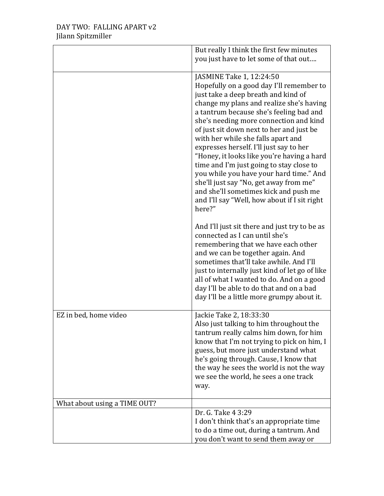|                              | But really I think the first few minutes<br>you just have to let some of that out                                                                                                                                                                                                                                                                                                                                                                                                                                                                                                                                                                           |
|------------------------------|-------------------------------------------------------------------------------------------------------------------------------------------------------------------------------------------------------------------------------------------------------------------------------------------------------------------------------------------------------------------------------------------------------------------------------------------------------------------------------------------------------------------------------------------------------------------------------------------------------------------------------------------------------------|
|                              | JASMINE Take 1, 12:24:50<br>Hopefully on a good day I'll remember to<br>just take a deep breath and kind of<br>change my plans and realize she's having<br>a tantrum because she's feeling bad and<br>she's needing more connection and kind<br>of just sit down next to her and just be<br>with her while she falls apart and<br>expresses herself. I'll just say to her<br>"Honey, it looks like you're having a hard<br>time and I'm just going to stay close to<br>you while you have your hard time." And<br>she'll just say "No, get away from me"<br>and she'll sometimes kick and push me<br>and I'll say "Well, how about if I sit right<br>here?" |
|                              | And I'll just sit there and just try to be as<br>connected as I can until she's<br>remembering that we have each other<br>and we can be together again. And<br>sometimes that'll take awhile. And I'll<br>just to internally just kind of let go of like<br>all of what I wanted to do. And on a good<br>day I'll be able to do that and on a bad<br>day I'll be a little more grumpy about it.                                                                                                                                                                                                                                                             |
| EZ in bed, home video        | Jackie Take 2, 18:33:30<br>Also just talking to him throughout the<br>tantrum really calms him down, for him<br>know that I'm not trying to pick on him, I<br>guess, but more just understand what<br>he's going through. Cause, I know that<br>the way he sees the world is not the way<br>we see the world, he sees a one track<br>way.                                                                                                                                                                                                                                                                                                                   |
| What about using a TIME OUT? |                                                                                                                                                                                                                                                                                                                                                                                                                                                                                                                                                                                                                                                             |
|                              | Dr. G. Take 4 3:29<br>I don't think that's an appropriate time<br>to do a time out, during a tantrum. And<br>you don't want to send them away or                                                                                                                                                                                                                                                                                                                                                                                                                                                                                                            |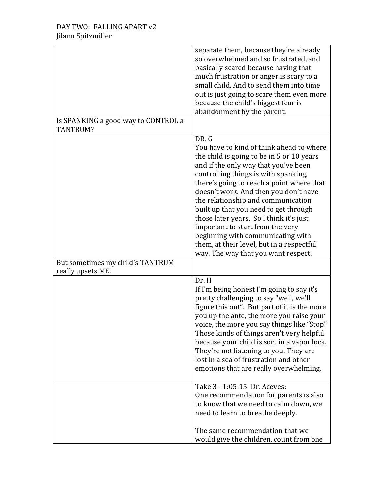|                                                       | separate them, because they're already<br>so overwhelmed and so frustrated, and<br>basically scared because having that<br>much frustration or anger is scary to a<br>small child. And to send them into time<br>out is just going to scare them even more<br>because the child's biggest fear is<br>abandonment by the parent.                                                                                                                                                                                                                             |
|-------------------------------------------------------|-------------------------------------------------------------------------------------------------------------------------------------------------------------------------------------------------------------------------------------------------------------------------------------------------------------------------------------------------------------------------------------------------------------------------------------------------------------------------------------------------------------------------------------------------------------|
| Is SPANKING a good way to CONTROL a<br>TANTRUM?       |                                                                                                                                                                                                                                                                                                                                                                                                                                                                                                                                                             |
|                                                       | DR. G<br>You have to kind of think ahead to where<br>the child is going to be in 5 or 10 years<br>and if the only way that you've been<br>controlling things is with spanking,<br>there's going to reach a point where that<br>doesn't work. And then you don't have<br>the relationship and communication<br>built up that you need to get through<br>those later years. So I think it's just<br>important to start from the very<br>beginning with communicating with<br>them, at their level, but in a respectful<br>way. The way that you want respect. |
| But sometimes my child's TANTRUM<br>really upsets ME. |                                                                                                                                                                                                                                                                                                                                                                                                                                                                                                                                                             |
|                                                       | Dr. H<br>If I'm being honest I'm going to say it's<br>pretty challenging to say "well, we'll<br>figure this out". But part of it is the more<br>you up the ante, the more you raise your<br>voice, the more you say things like "Stop"<br>Those kinds of things aren't very helpful<br>because your child is sort in a vapor lock.<br>They're not listening to you. They are<br>lost in a sea of frustration and other<br>emotions that are really overwhelming.                                                                                            |
|                                                       | Take 3 - 1:05:15 Dr. Aceves:<br>One recommendation for parents is also<br>to know that we need to calm down, we<br>need to learn to breathe deeply.                                                                                                                                                                                                                                                                                                                                                                                                         |
|                                                       | The same recommendation that we<br>would give the children, count from one                                                                                                                                                                                                                                                                                                                                                                                                                                                                                  |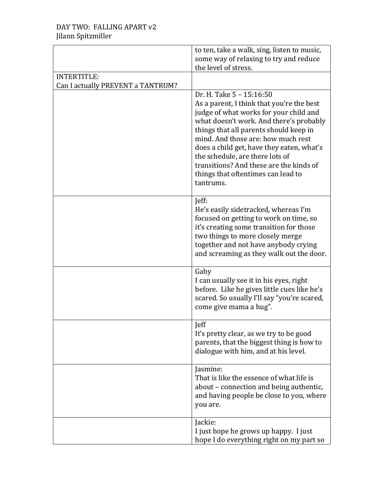|                                   | to ten, take a walk, sing, listen to music,<br>some way of relaxing to try and reduce<br>the level of stress.                                                                                                                                                                                                                                                                                                            |
|-----------------------------------|--------------------------------------------------------------------------------------------------------------------------------------------------------------------------------------------------------------------------------------------------------------------------------------------------------------------------------------------------------------------------------------------------------------------------|
| INTERTITLE:                       |                                                                                                                                                                                                                                                                                                                                                                                                                          |
| Can I actually PREVENT a TANTRUM? |                                                                                                                                                                                                                                                                                                                                                                                                                          |
|                                   | Dr. H. Take 5 - 15:16:50<br>As a parent, I think that you're the best<br>judge of what works for your child and<br>what doesn't work. And there's probably<br>things that all parents should keep in<br>mind. And those are: how much rest<br>does a child get, have they eaten, what's<br>the schedule, are there lots of<br>transitions? And these are the kinds of<br>things that oftentimes can lead to<br>tantrums. |
|                                   | Jeff:<br>He's easily sidetracked, whereas I'm<br>focused on getting to work on time, so<br>it's creating some transition for those<br>two things to more closely merge<br>together and not have anybody crying<br>and screaming as they walk out the door.                                                                                                                                                               |
|                                   | Gaby<br>I can usually see it in his eyes, right<br>before. Like he gives little cues like he's<br>scared. So usually I'll say "you're scared,<br>come give mama a hug".                                                                                                                                                                                                                                                  |
|                                   | <b>leff</b><br>It's pretty clear, as we try to be good<br>parents, that the biggest thing is how to<br>dialogue with him, and at his level.                                                                                                                                                                                                                                                                              |
|                                   | Jasmine:<br>That is like the essence of what life is<br>about – connection and being authentic,<br>and having people be close to you, where<br>you are.                                                                                                                                                                                                                                                                  |
|                                   | Jackie:<br>I just hope he grows up happy. I just<br>hope I do everything right on my part so                                                                                                                                                                                                                                                                                                                             |